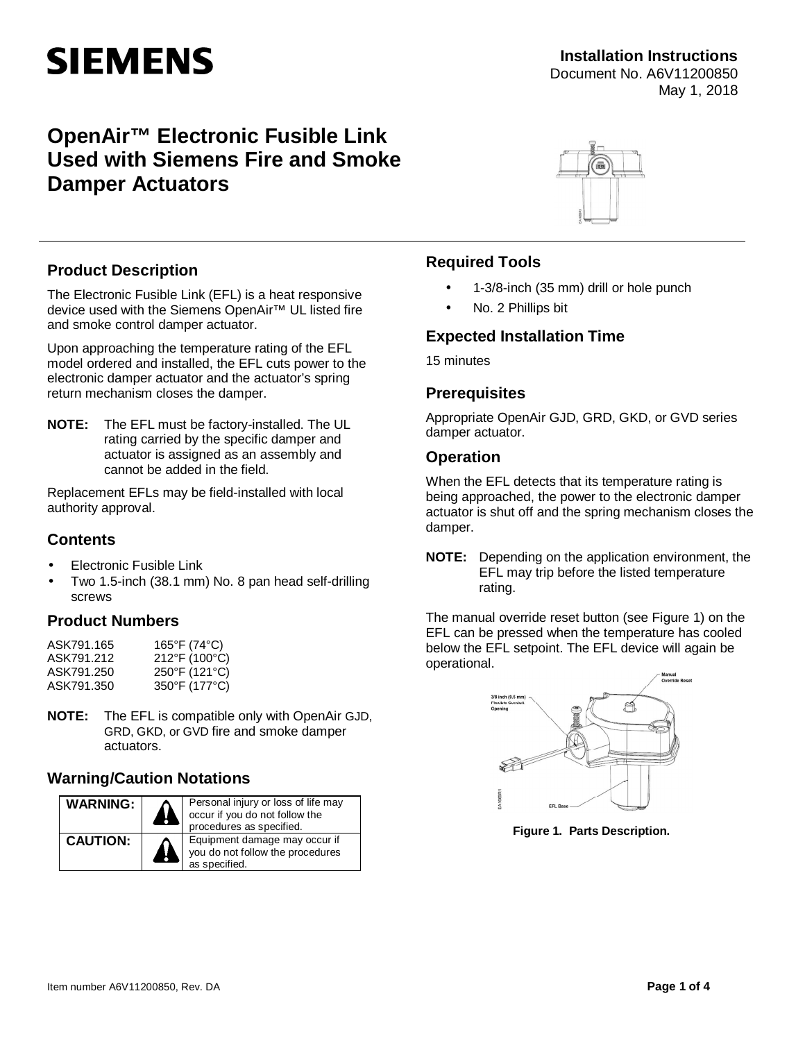# **SIEMENS**

#### **Installation Instructions** Document No. A6V11200850 May 1, 2018

## **OpenAir™ Electronic Fusible Link Used with Siemens Fire and Smoke Damper Actuators**



#### **Product Description**

The Electronic Fusible Link (EFL) is a heat responsive device used with the Siemens OpenAir™ UL listed fire and smoke control damper actuator.

Upon approaching the temperature rating of the EFL model ordered and installed, the EFL cuts power to the electronic damper actuator and the actuator's spring return mechanism closes the damper.

**NOTE:** The EFL must be factory-installed. The UL rating carried by the specific damper and actuator is assigned as an assembly and cannot be added in the field.

Replacement EFLs may be field-installed with local authority approval.

#### **Contents**

- Electronic Fusible Link
- Two 1.5-inch (38.1 mm) No. 8 pan head self-drilling screws

#### **Product Numbers**

| ASK791.165 | 165°F (74°C)  |
|------------|---------------|
| ASK791.212 | 212°F (100°C) |
| ASK791.250 | 250°F (121°C) |
| ASK791.350 | 350°F (177°C) |

**NOTE:** The EFL is compatible only with OpenAir GJD, GRD, GKD, or GVD fire and smoke damper actuators.

#### **Warning/Caution Notations**



#### **Required Tools**

- 1-3/8-inch (35 mm) drill or hole punch
- No. 2 Phillips bit ä,

#### **Expected Installation Time**

15 minutes

#### **Prerequisites**

Appropriate OpenAir GJD, GRD, GKD, or GVD series damper actuator.

#### **Operation**

When the EFL detects that its temperature rating is being approached, the power to the electronic damper actuator is shut off and the spring mechanism closes the damper.

**NOTE:** Depending on the application environment, the EFL may trip before the listed temperature rating.

The manual override reset button (see [Figure 1](#page-0-0)) on the EFL can be pressed when the temperature has cooled below the EFL setpoint. The EFL device will again be operational.



<span id="page-0-0"></span>**Figure 1. Parts Description.**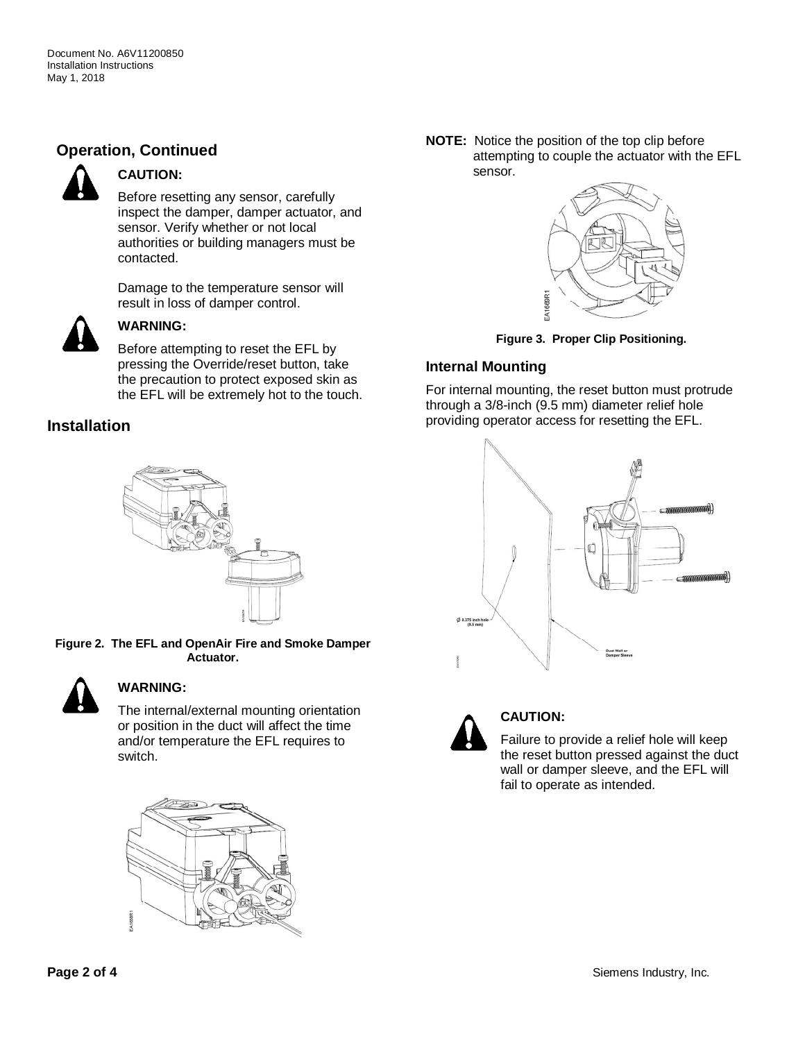### **Operation, Continued**



#### **CAUTION:**

Before resetting any sensor, carefully inspect the damper, damper actuator, and sensor. Verify whether or not local authorities or building managers must be contacted.

Damage to the temperature sensor will result in loss of damper control.



#### **WARNING:**

Before attempting to reset the EFL by pressing the Override/reset button, take the precaution to protect exposed skin as the EFL will be extremely hot to the touch.

#### **Installation**



**Figure 2. The EFL and OpenAir Fire and Smoke Damper Actuator.**



#### **WARNING:**

The internal/external mounting orientation or position in the duct will affect the time and/or temperature the EFL requires to switch.



**NOTE:** Notice the position of the top clip before attempting to couple the actuator with the EFL sensor.



**Figure 3. Proper Clip Positioning.**

#### **Internal Mounting**

For internal mounting, the reset button must protrude through a 3/8-inch (9.5 mm) diameter relief hole providing operator access for resetting the EFL.





#### **CAUTION:**

Failure to provide a relief hole will keep the reset button pressed against the duct wall or damper sleeve, and the EFL will fail to operate as intended.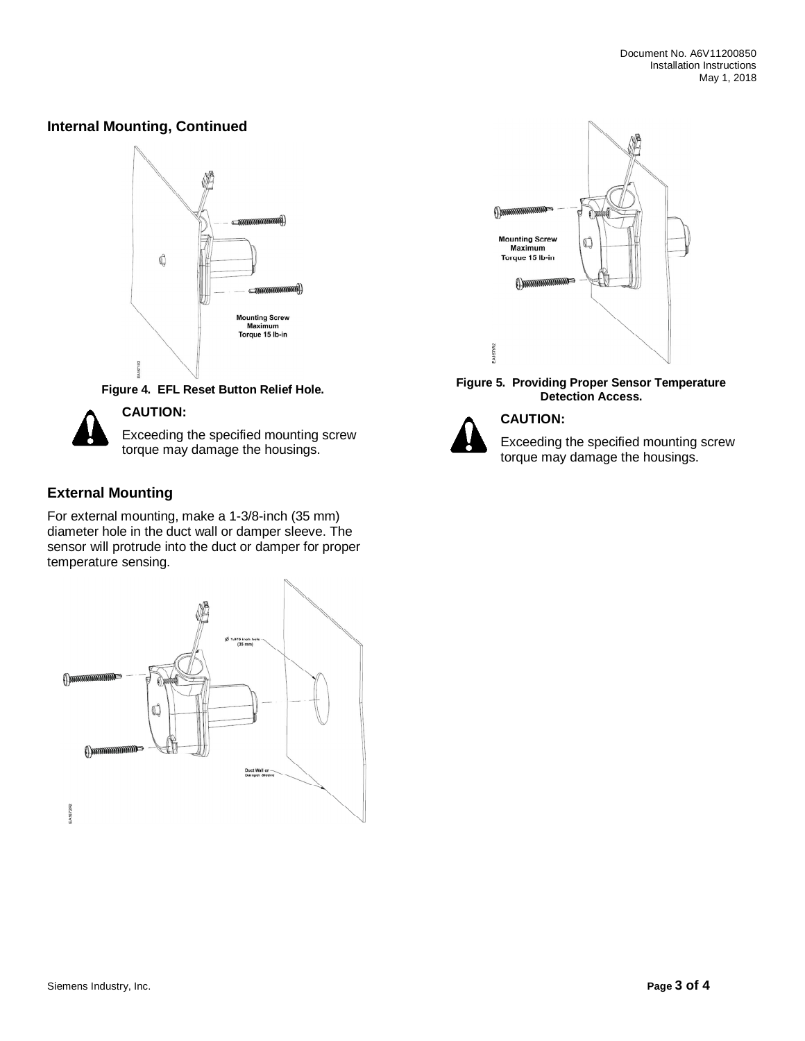#### **Internal Mounting, Continued**



**Figure 4. EFL Reset Button Relief Hole.**



#### **CAUTION:**

Exceeding the specified mounting screw torque may damage the housings.

#### **External Mounting**

For external mounting, make a 1-3/8-inch (35 mm) diameter hole in the duct wall or damper sleeve. The sensor will protrude into the duct or damper for proper temperature sensing.





#### **Figure 5. Providing Proper Sensor Temperature Detection Access.**



#### **CAUTION:**

Exceeding the specified mounting screw torque may damage the housings.